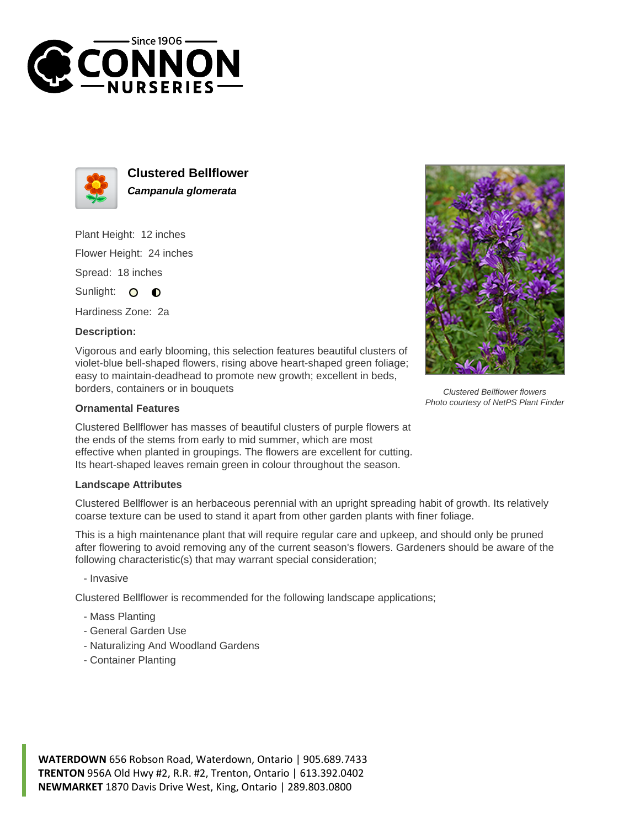



**Clustered Bellflower Campanula glomerata**

Plant Height: 12 inches Flower Height: 24 inches Spread: 18 inches

Sunlight: O **O** 

Hardiness Zone: 2a

## **Description:**

Vigorous and early blooming, this selection features beautiful clusters of violet-blue bell-shaped flowers, rising above heart-shaped green foliage; easy to maintain-deadhead to promote new growth; excellent in beds, borders, containers or in bouquets

## **Ornamental Features**

Clustered Bellflower has masses of beautiful clusters of purple flowers at the ends of the stems from early to mid summer, which are most effective when planted in groupings. The flowers are excellent for cutting. Its heart-shaped leaves remain green in colour throughout the season.

## **Landscape Attributes**

Clustered Bellflower is an herbaceous perennial with an upright spreading habit of growth. Its relatively coarse texture can be used to stand it apart from other garden plants with finer foliage.

This is a high maintenance plant that will require regular care and upkeep, and should only be pruned after flowering to avoid removing any of the current season's flowers. Gardeners should be aware of the following characteristic(s) that may warrant special consideration;

- Invasive

Clustered Bellflower is recommended for the following landscape applications;

- Mass Planting
- General Garden Use
- Naturalizing And Woodland Gardens
- Container Planting

**WATERDOWN** 656 Robson Road, Waterdown, Ontario | 905.689.7433 **TRENTON** 956A Old Hwy #2, R.R. #2, Trenton, Ontario | 613.392.0402 **NEWMARKET** 1870 Davis Drive West, King, Ontario | 289.803.0800



Clustered Bellflower flowers Photo courtesy of NetPS Plant Finder